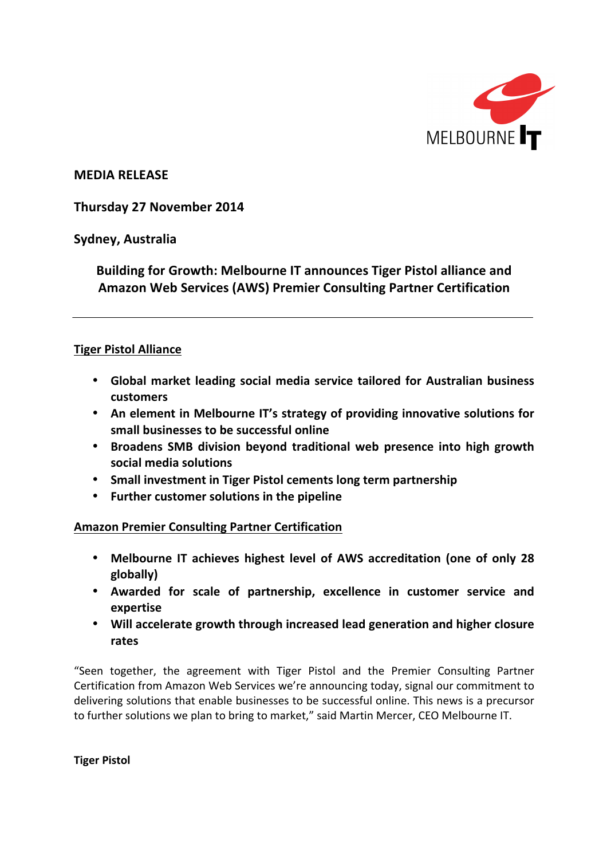

**MEDIA RELEASE**

**Thursday 27 November 2014**

**Sydney, Australia**

**Building for Growth: Melbourne IT announces Tiger Pistol alliance and Amazon Web Services (AWS) Premier Consulting Partner Certification**

# **Tiger Pistol Alliance**

- Global market leading social media service tailored for Australian business **customers**
- An element in Melbourne IT's strategy of providing innovative solutions for **small businesses to be successful online**
- **Broadens SMB division beyond traditional web presence into high growth social media solutions**
- Small investment in Tiger Pistol cements long term partnership
- **•** Further customer solutions in the pipeline

**Amazon Premier Consulting Partner Certification**

- Melbourne IT achieves highest level of AWS accreditation (one of only 28 **globally)**
- **Awarded for scale of partnership, excellence in customer service and expertise**
- Will accelerate growth through increased lead generation and higher closure **rates**

"Seen together, the agreement with Tiger Pistol and the Premier Consulting Partner Certification from Amazon Web Services we're announcing today, signal our commitment to delivering solutions that enable businesses to be successful online. This news is a precursor to further solutions we plan to bring to market," said Martin Mercer, CEO Melbourne IT.

**Tiger Pistol**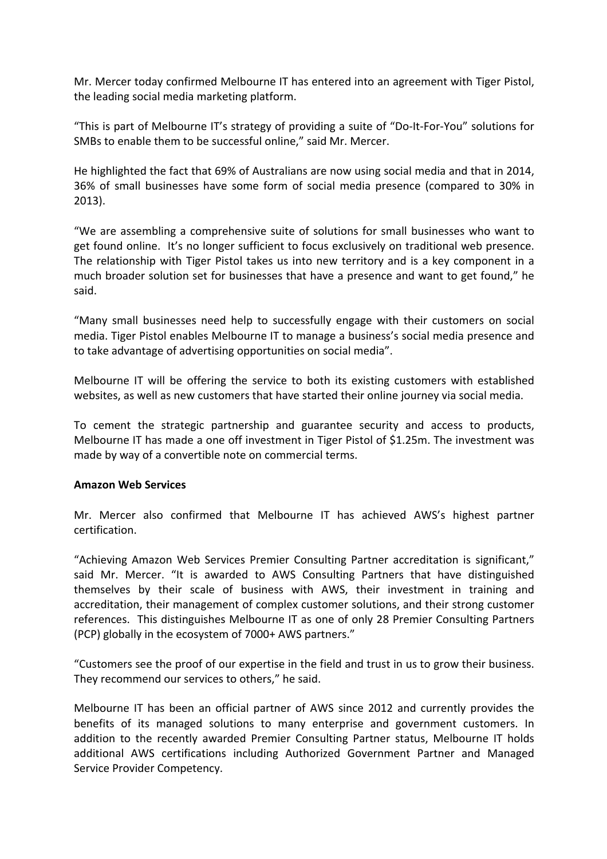Mr. Mercer today confirmed Melbourne IT has entered into an agreement with Tiger Pistol, the leading social media marketing platform.

"This is part of Melbourne IT's strategy of providing a suite of "Do-It-For-You" solutions for SMBs to enable them to be successful online," said Mr. Mercer.

He highlighted the fact that 69% of Australians are now using social media and that in 2014, 36% of small businesses have some form of social media presence (compared to 30% in 2013). 

"We are assembling a comprehensive suite of solutions for small businesses who want to get found online. It's no longer sufficient to focus exclusively on traditional web presence. The relationship with Tiger Pistol takes us into new territory and is a key component in a much broader solution set for businesses that have a presence and want to get found," he said.

"Many small businesses need help to successfully engage with their customers on social media. Tiger Pistol enables Melbourne IT to manage a business's social media presence and to take advantage of advertising opportunities on social media".

Melbourne IT will be offering the service to both its existing customers with established websites, as well as new customers that have started their online journey via social media.

To cement the strategic partnership and guarantee security and access to products, Melbourne IT has made a one off investment in Tiger Pistol of \$1.25m. The investment was made by way of a convertible note on commercial terms.

# **Amazon Web Services**

Mr. Mercer also confirmed that Melbourne IT has achieved AWS's highest partner certification.

"Achieving Amazon Web Services Premier Consulting Partner accreditation is significant," said Mr. Mercer. "It is awarded to AWS Consulting Partners that have distinguished themselves by their scale of business with AWS, their investment in training and accreditation, their management of complex customer solutions, and their strong customer references. This distinguishes Melbourne IT as one of only 28 Premier Consulting Partners (PCP) globally in the ecosystem of 7000+ AWS partners."

"Customers see the proof of our expertise in the field and trust in us to grow their business. They recommend our services to others," he said.

Melbourne IT has been an official partner of AWS since 2012 and currently provides the benefits of its managed solutions to many enterprise and government customers. In addition to the recently awarded Premier Consulting Partner status, Melbourne IT holds additional AWS certifications including Authorized Government Partner and Managed Service Provider Competency.